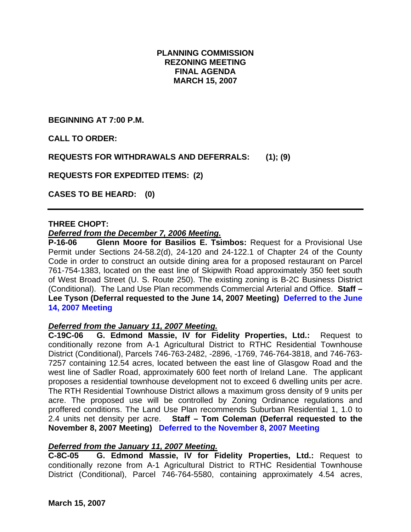# **PLANNING COMMISSION REZONING MEETING FINAL AGENDA MARCH 15, 2007**

**BEGINNING AT 7:00 P.M.** 

**CALL TO ORDER:** 

**REQUESTS FOR WITHDRAWALS AND DEFERRALS: (1); (9)** 

**REQUESTS FOR EXPEDITED ITEMS: (2)** 

**CASES TO BE HEARD: (0)** 

### **THREE CHOPT:**

### *Deferred from the December 7, 2006 Meeting.*

**P-16-06 Glenn Moore for Basilios E. Tsimbos:** Request for a Provisional Use Permit under Sections 24-58.2(d), 24-120 and 24-122.1 of Chapter 24 of the County Code in order to construct an outside dining area for a proposed restaurant on Parcel 761-754-1383, located on the east line of Skipwith Road approximately 350 feet south of West Broad Street (U. S. Route 250). The existing zoning is B-2C Business District (Conditional). The Land Use Plan recommends Commercial Arterial and Office. **Staff – Lee Tyson (Deferral requested to the June 14, 2007 Meeting) Deferred to the June 14, 2007 Meeting** 

#### *Deferred from the January 11, 2007 Meeting.*

**C-19C-06 G. Edmond Massie, IV for Fidelity Properties, Ltd.:** Request to conditionally rezone from A-1 Agricultural District to RTHC Residential Townhouse District (Conditional), Parcels 746-763-2482, -2896, -1769, 746-764-3818, and 746-763- 7257 containing 12.54 acres, located between the east line of Glasgow Road and the west line of Sadler Road, approximately 600 feet north of Ireland Lane. The applicant proposes a residential townhouse development not to exceed 6 dwelling units per acre. The RTH Residential Townhouse District allows a maximum gross density of 9 units per acre. The proposed use will be controlled by Zoning Ordinance regulations and proffered conditions. The Land Use Plan recommends Suburban Residential 1, 1.0 to 2.4 units net density per acre. **Staff – Tom Coleman (Deferral requested to the November 8, 2007 Meeting) Deferred to the November 8, 2007 Meeting**

# *Deferred from the January 11, 2007 Meeting.*

**C-8C-05 G. Edmond Massie, IV for Fidelity Properties, Ltd.:** Request to conditionally rezone from A-1 Agricultural District to RTHC Residential Townhouse District (Conditional), Parcel 746-764-5580, containing approximately 4.54 acres,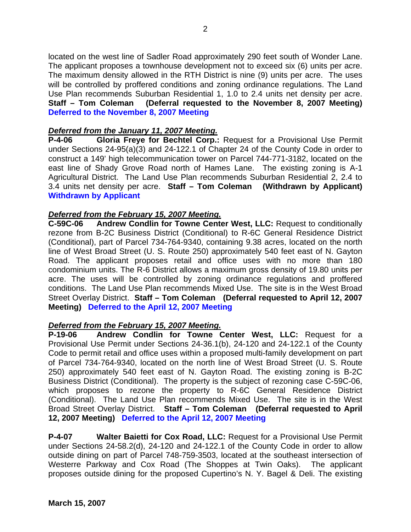located on the west line of Sadler Road approximately 290 feet south of Wonder Lane. The applicant proposes a townhouse development not to exceed six (6) units per acre. The maximum density allowed in the RTH District is nine (9) units per acre. The uses will be controlled by proffered conditions and zoning ordinance regulations. The Land Use Plan recommends Suburban Residential 1, 1.0 to 2.4 units net density per acre. **Staff – Tom Coleman (Deferral requested to the November 8, 2007 Meeting) Deferred to the November 8, 2007 Meeting**

### *Deferred from the January 11, 2007 Meeting.*

**P-4-06 Gloria Freye for Bechtel Corp.:** Request for a Provisional Use Permit under Sections 24-95(a)(3) and 24-122.1 of Chapter 24 of the County Code in order to construct a 149' high telecommunication tower on Parcel 744-771-3182, located on the east line of Shady Grove Road north of Hames Lane. The existing zoning is A-1 Agricultural District. The Land Use Plan recommends Suburban Residential 2, 2.4 to 3.4 units net density per acre. **Staff – Tom Coleman (Withdrawn by Applicant) Withdrawn by Applicant**

### *Deferred from the February 15, 2007 Meeting.*

**C-59C-06 Andrew Condlin for Towne Center West, LLC:** Request to conditionally rezone from B-2C Business District (Conditional) to R-6C General Residence District (Conditional), part of Parcel 734-764-9340, containing 9.38 acres, located on the north line of West Broad Street (U. S. Route 250) approximately 540 feet east of N. Gayton Road. The applicant proposes retail and office uses with no more than 180 condominium units. The R-6 District allows a maximum gross density of 19.80 units per acre. The uses will be controlled by zoning ordinance regulations and proffered conditions. The Land Use Plan recommends Mixed Use. The site is in the West Broad Street Overlay District. **Staff – Tom Coleman (Deferral requested to April 12, 2007 Meeting) Deferred to the April 12, 2007 Meeting**

#### *Deferred from the February 15, 2007 Meeting.*

**P-19-06 Andrew Condlin for Towne Center West, LLC:** Request for a Provisional Use Permit under Sections 24-36.1(b), 24-120 and 24-122.1 of the County Code to permit retail and office uses within a proposed multi-family development on part of Parcel 734-764-9340, located on the north line of West Broad Street (U. S. Route 250) approximately 540 feet east of N. Gayton Road. The existing zoning is B-2C Business District (Conditional). The property is the subject of rezoning case C-59C-06, which proposes to rezone the property to R-6C General Residence District (Conditional). The Land Use Plan recommends Mixed Use. The site is in the West Broad Street Overlay District. **Staff – Tom Coleman (Deferral requested to April 12, 2007 Meeting) Deferred to the April 12, 2007 Meeting**

**P-4-07 Walter Baietti for Cox Road, LLC:** Request for a Provisional Use Permit under Sections 24-58.2(d), 24-120 and 24-122.1 of the County Code in order to allow outside dining on part of Parcel 748-759-3503, located at the southeast intersection of Westerre Parkway and Cox Road (The Shoppes at Twin Oaks). The applicant proposes outside dining for the proposed Cupertino's N. Y. Bagel & Deli. The existing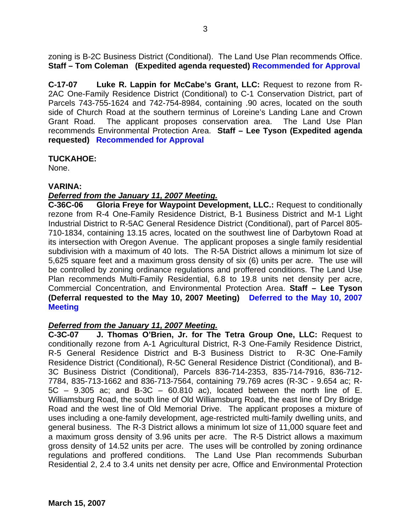zoning is B-2C Business District (Conditional). The Land Use Plan recommends Office. **Staff – Tom Coleman (Expedited agenda requested) Recommended for Approval** 

**C-17-07 Luke R. Lappin for McCabe's Grant, LLC:** Request to rezone from R-2AC One-Family Residence District (Conditional) to C-1 Conservation District, part of Parcels 743-755-1624 and 742-754-8984, containing .90 acres, located on the south side of Church Road at the southern terminus of Loreine's Landing Lane and Crown Grant Road. The applicant proposes conservation area. The Land Use Plan recommends Environmental Protection Area. **Staff – Lee Tyson (Expedited agenda requested) Recommended for Approval** 

### **TUCKAHOE:**

None.

### **VARINA:**

# *Deferred from the January 11, 2007 Meeting.*

**C-36C-06 Gloria Freye for Waypoint Development, LLC.:** Request to conditionally rezone from R-4 One-Family Residence District, B-1 Business District and M-1 Light Industrial District to R-5AC General Residence District (Conditional), part of Parcel 805- 710-1834, containing 13.15 acres, located on the southwest line of Darbytown Road at its intersection with Oregon Avenue. The applicant proposes a single family residential subdivision with a maximum of 40 lots. The R-5A District allows a minimum lot size of 5,625 square feet and a maximum gross density of six (6) units per acre. The use will be controlled by zoning ordinance regulations and proffered conditions. The Land Use Plan recommends Multi-Family Residential, 6.8 to 19.8 units net density per acre, Commercial Concentration, and Environmental Protection Area. **Staff – Lee Tyson (Deferral requested to the May 10, 2007 Meeting) Deferred to the May 10, 2007 Meeting**

#### *Deferred from the January 11, 2007 Meeting.*

**C-3C-07 J. Thomas O'Brien, Jr. for The Tetra Group One, LLC:** Request to conditionally rezone from A-1 Agricultural District, R-3 One-Family Residence District, R-5 General Residence District and B-3 Business District to R-3C One-Family Residence District (Conditional), R-5C General Residence District (Conditional), and B-3C Business District (Conditional), Parcels 836-714-2353, 835-714-7916, 836-712- 7784, 835-713-1662 and 836-713-7564, containing 79.769 acres (R-3C - 9.654 ac; R- $5C - 9.305$  ac; and B-3C – 60.810 ac), located between the north line of E. Williamsburg Road, the south line of Old Williamsburg Road, the east line of Dry Bridge Road and the west line of Old Memorial Drive. The applicant proposes a mixture of uses including a one-family development, age-restricted multi-family dwelling units, and general business. The R-3 District allows a minimum lot size of 11,000 square feet and a maximum gross density of 3.96 units per acre. The R-5 District allows a maximum gross density of 14.52 units per acre. The uses will be controlled by zoning ordinance regulations and proffered conditions. The Land Use Plan recommends Suburban Residential 2, 2.4 to 3.4 units net density per acre, Office and Environmental Protection